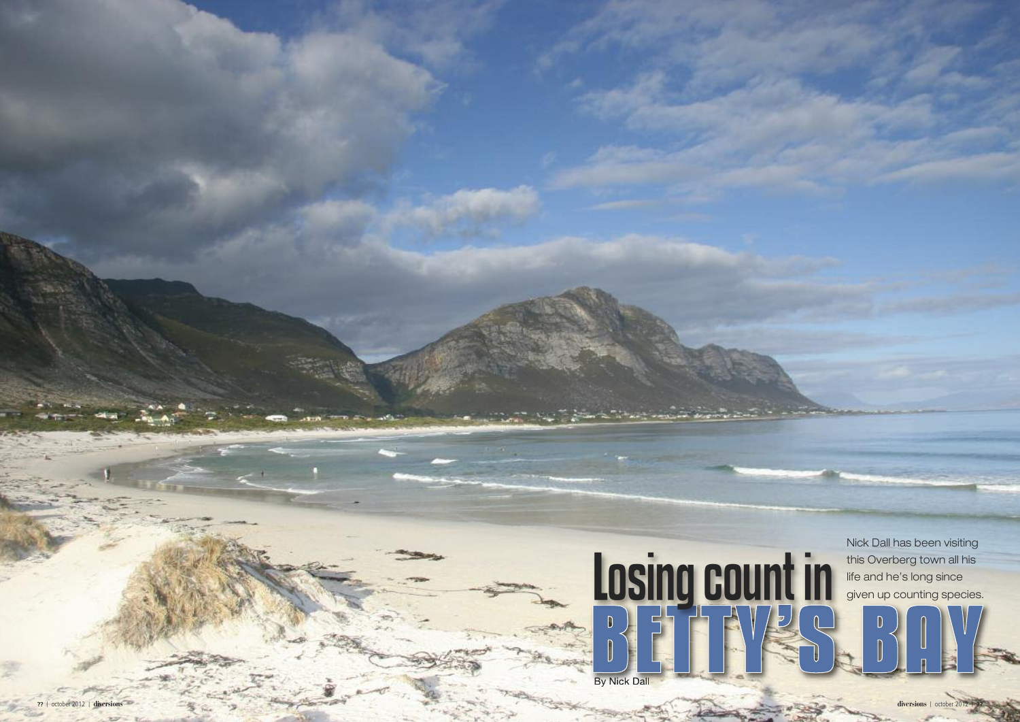

**| ? ?**

Nick Dall has been visiting i l l i i i this Overberg town all his i l l i l i fe and he's long since l i given up counting species. i i i

**diversions** | october 2012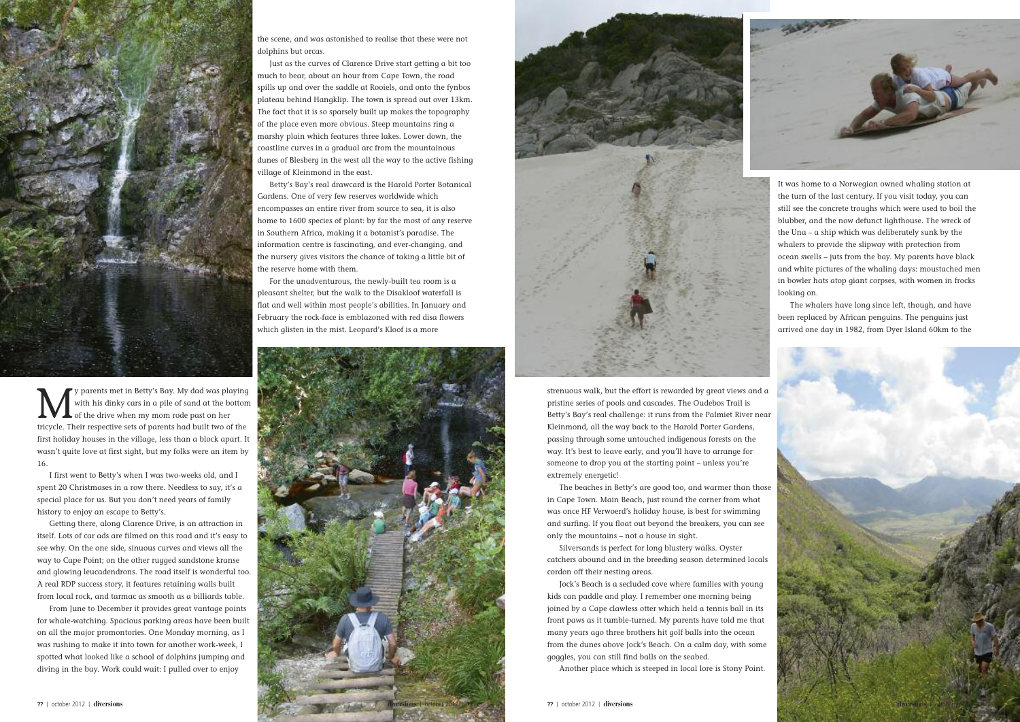strenuous walk, but the effort is rewarded by great views and a pristine series of pools and cascades. The Oudebos Trail is Betty's Bay's real challenge: it runs from the Palmiet River near Kleinmond, all the way back to the Harold Porter Gardens, passing through some untouched indigenous forests on the way. It's best to leave early, and you'll have to arrange for someone to drop you at the starting point – unless you're extremely energetic!

The beaches in Betty's are good too, and warmer than those in Cape Town. Main Beach, just round the corner from what was once HF Verwoerd's holiday house, is best for swimming and surfing. If you float out beyond the breakers, you can see only the mountains – not a house in sight.

Silversands is perfect for long blustery walks. Oyster catchers abound and in the breeding season determined locals cordon off their nesting areas.

Jock's Beach is a secluded cove where families with young kids can paddle and play. I remember one morning being joined by a Cape clawless otter which held a tennis ball in its front paws as it tumble-turned. My parents have told me that many years ago three brothers hit golf balls into the ocean from the dunes above Jock's Beach. On a calm day, with some goggles, you can still find balls on the seabed.



V parents met in Betty's Bay. My dad was playing<br>with his dinky cars in a pile of sand at the bottom<br>of the drive when my mom rode past on her with his dinky cars in a pile of sand at the bottom of the drive when my mom rode past on her tricycle. Their respective sets of parents had built two of the first holiday houses in the village, less than a block apart. It wasn't quite love at first sight, but my folks were an item by 16.

Another place which is steeped in local lore is Stony Point.





I first went to Betty's when I was two-weeks old, and I spent 20 Christmases in a row there. Needless to say, it's a special place for us. But you don't need years of family history to enjoy an escape to Betty's.



Getting there, along Clarence Drive, is an attraction in itself. Lots of car ads are filmed on this road and it's easy to see why. On the one side, sinuous curves and views all the way to Cape Point; on the other rugged sandstone kranse and glowing leucadendrons. The road itself is wonderful too. A real RDP success story, it features retaining walls built from local rock, and tarmac as smooth as a billiards table.

From June to December it provides great vantage points for whale-watching. Spacious parking areas have been built on all the major promontories. One Monday morning, as I was rushing to make it into town for another work-week, I spotted what looked like a school of dolphins jumping and diving in the bay. Work could wait: I pulled over to enjoy

the scene, and was astonished to realise that these were not dolphins but orcas.

Just as the curves of Clarence Drive start getting a bit too much to bear, about an hour from Cape Town, the road spills up and over the saddle at Rooiels, and onto the fynbos plateau behind Hangklip. The town is spread out over 13km. The fact that it is so sparsely built up makes the topography of the place even more obvious. Steep mountains ring a marshy plain which features three lakes. Lower down, the coastline curves in a gradual arc from the mountainous dunes of Blesberg in the west all the way to the active fishing village of Kleinmond in the east.

Betty's Bay's real drawcard is the Harold Porter Botanical Gardens. One of very few reserves worldwide which encompasses an entire river from source to sea, it is also home to 1600 species of plant: by far the most of any reserve in Southern Africa, making it a botanist's paradise. The information centre is fascinating, and ever-changing, and the nursery gives visitors the chance of taking a little bit of the reserve home with them.

For the unadventurous, the newly-built tea room is a pleasant shelter, but the walk to the Disakloof waterfall is flat and well within most people's abilities. In January and February the rock-face is emblazoned with red disa flowers which glisten in the mist. Leopard's Kloof is a more